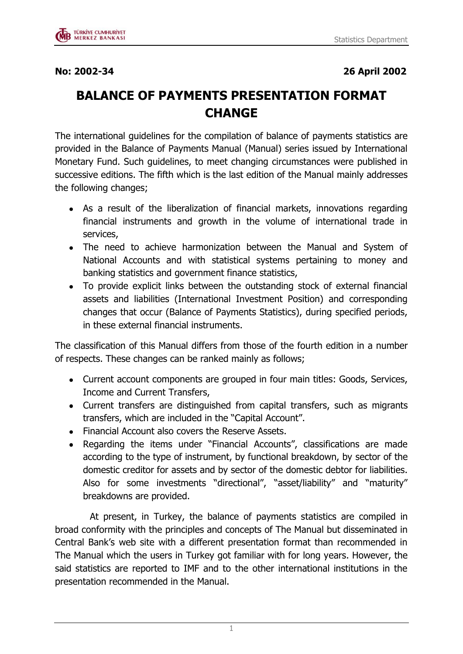

## **BALANCE OF PAYMENTS PRESENTATION FORMAT CHANGE**

The international guidelines for the compilation of balance of payments statistics are provided in the Balance of Payments Manual (Manual) series issued by International Monetary Fund. Such guidelines, to meet changing circumstances were published in successive editions. The fifth which is the last edition of the Manual mainly addresses the following changes;

- As a result of the liberalization of financial markets, innovations regarding financial instruments and growth in the volume of international trade in services,
- The need to achieve harmonization between the Manual and System of National Accounts and with statistical systems pertaining to money and banking statistics and government finance statistics,
- To provide explicit links between the outstanding stock of external financial assets and liabilities (International Investment Position) and corresponding changes that occur (Balance of Payments Statistics), during specified periods, in these external financial instruments.

The classification of this Manual differs from those of the fourth edition in a number of respects. These changes can be ranked mainly as follows;

- Current account components are grouped in four main titles: Goods, Services, Income and Current Transfers,
- Current transfers are distinguished from capital transfers, such as migrants transfers, which are included in the "Capital Account".
- Financial Account also covers the Reserve Assets.
- Regarding the items under "Financial Accounts", classifications are made according to the type of instrument, by functional breakdown, by sector of the domestic creditor for assets and by sector of the domestic debtor for liabilities. Also for some investments "directional", "asset/liability" and "maturity" breakdowns are provided.

 At present, in Turkey, the balance of payments statistics are compiled in broad conformity with the principles and concepts of The Manual but disseminated in Central Bank's web site with a different presentation format than recommended in The Manual which the users in Turkey got familiar with for long years. However, the said statistics are reported to IMF and to the other international institutions in the presentation recommended in the Manual.